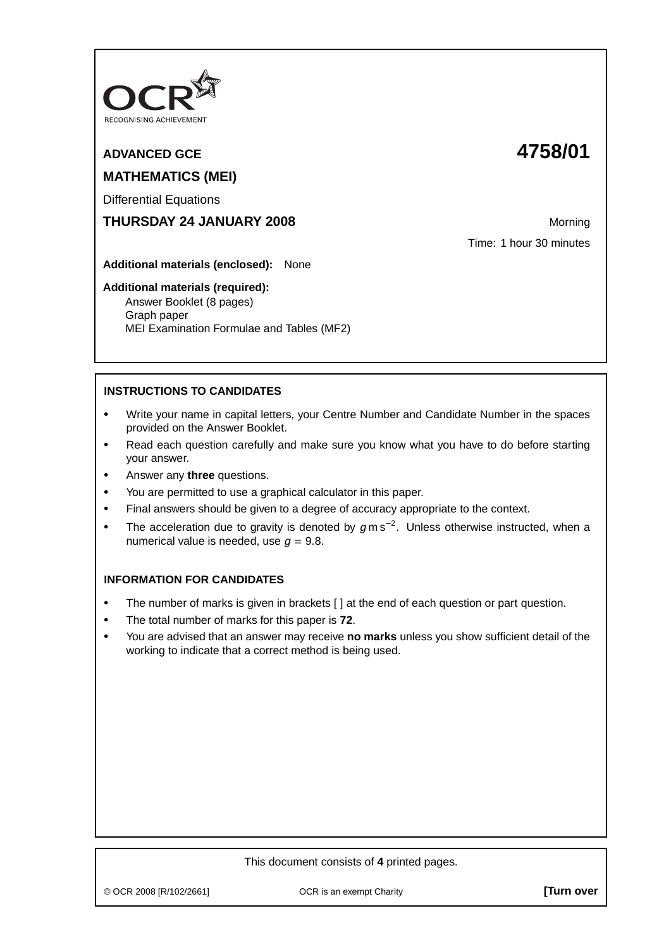

# **ADVANCED GCE 4758/01 MATHEMATICS (MEI)**

Differential Equations

# **THURSDAY 24 JANUARY 2008** Morning

Time: 1 hour 30 minutes

**Additional materials (enclosed):** None

#### **Additional materials (required):**

Answer Booklet (8 pages) Graph paper MEI Examination Formulae and Tables (MF2)

# **INSTRUCTIONS TO CANDIDATES**

- **•** Write your name in capital letters, your Centre Number and Candidate Number in the spaces provided on the Answer Booklet.
- **•** Read each question carefully and make sure you know what you have to do before starting your answer.
- **•** Answer any **three** questions.
- **•** You are permitted to use a graphical calculator in this paper.
- **•** Final answers should be given to a degree of accuracy appropriate to the context.
- **•** The acceleration due to gravity is denoted by <sup>g</sup> m s−<sup>2</sup> . Unless otherwise instructed, when a numerical value is needed, use  $q = 9.8$ .

## **INFORMATION FOR CANDIDATES**

- The number of marks is given in brackets [ ] at the end of each question or part question.
- **•** The total number of marks for this paper is **72**.
- **•** You are advised that an answer may receive **no marks** unless you show sufficient detail of the working to indicate that a correct method is being used.

## This document consists of **4** printed pages.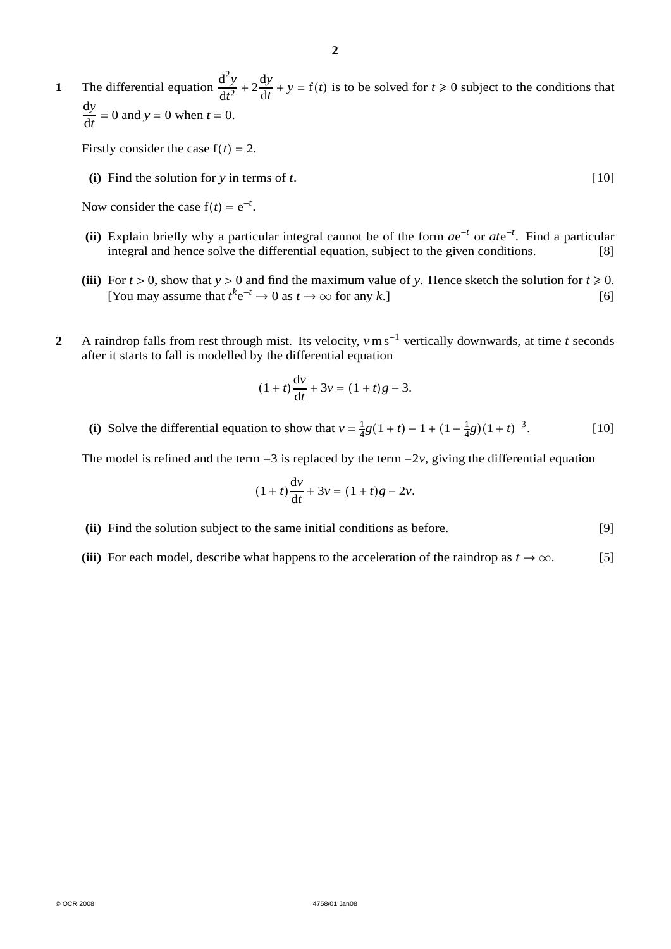**1** The differential equation  $\frac{d^2y}{dx^2}$  $\frac{d^2y}{dt^2} + 2\frac{dy}{dt}$  $\frac{dy}{dt} + y = f(t)$  is to be solved for  $t \ge 0$  subject to the conditions that  $\frac{dy}{dt} = 0$  and  $y = 0$  when  $t = 0$ .

Firstly consider the case  $f(t) = 2$ .

**(i)** Find the solution for *y* in terms of *t*. [10]

Now consider the case  $f(t) = e^{-t}$ .

- **(ii)** Explain briefly why a particular integral cannot be of the form *a*e<sup>−</sup>*<sup>t</sup>* or *at*e<sup>−</sup>*<sup>t</sup>* . Find a particular integral and hence solve the differential equation, subject to the given conditions. [8]
- (iii) For  $t > 0$ , show that  $y > 0$  and find the maximum value of *y*. Hence sketch the solution for  $t \ge 0$ . [You may assume that  $t^k e^{-t} \to 0$  as  $t \to \infty$  for any *k*.] [6]
- **2** A raindrop falls from rest through mist. Its velocity, *v*m s<sup>−</sup><sup>1</sup> vertically downwards, at time *t* seconds after it starts to fall is modelled by the differential equation

$$
(1+t)\frac{dv}{dt} + 3v = (1+t)g - 3.
$$

**(i)** Solve the differential equation to show that  $v = \frac{1}{4}g(1 + t) - 1 + (1 - \frac{1}{4}g)(1 + t)^{-3}$ . [10]

The model is refined and the term  $-3$  is replaced by the term  $-2\nu$ , giving the differential equation

$$
(1+t)\frac{dv}{dt} + 3v = (1+t)g - 2v.
$$

**(ii)** Find the solution subject to the same initial conditions as before. [9]

**(iii)** For each model, describe what happens to the acceleration of the raindrop as  $t \to \infty$ . [5]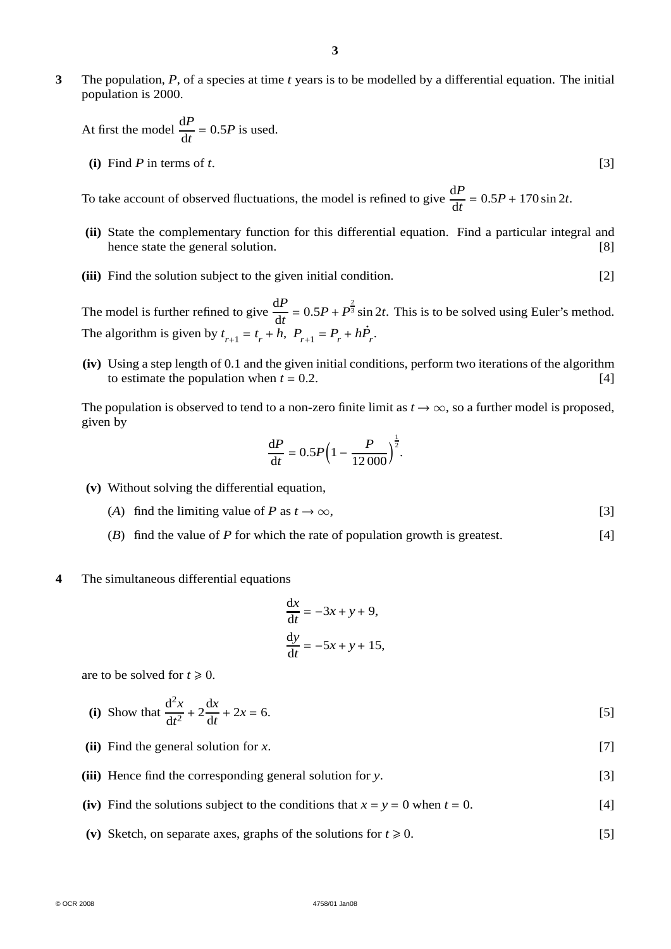**3** The population, *P*, of a species at time *t* years is to be modelled by a differential equation. The initial population is 2000.

At first the model 
$$
\frac{dP}{dt} = 0.5P
$$
 is used.

**(i)** Find *P* in terms of *t*. [3]

To take account of observed fluctuations, the model is refined to give  $\frac{dP}{dt} = 0.5P + 170 \sin 2t$ .

- **(ii)** State the complementary function for this differential equation. Find a particular integral and hence state the general solution. [8] hence state the general solution.
- **(iii)** Find the solution subject to the given initial condition. [2]

The model is further refined to give  $\frac{dP}{dt} = 0.5P + P^{\frac{2}{3}} \sin 2t$ . This is to be solved using Euler's method. The algorithm is given by  $t_{r+1} = t_r + h$ ,  $P_{r+1} = P_r + h\dot{P}_r$ .

**(iv)** Using a step length of 0.1 and the given initial conditions, perform two iterations of the algorithm to estimate the population when  $t = 0.2$ . [4]

The population is observed to tend to a non-zero finite limit as  $t \to \infty$ , so a further model is proposed, given by

$$
\frac{\text{d}P}{\text{d}t} = 0.5P\Big(1 - \frac{P}{12\,000}\Big)^{\frac{1}{2}}.
$$

- **(v)** Without solving the differential equation,
	- (*A*) find the limiting value of *P* as  $t \to \infty$ , [3]
	- (*B*) find the value of *P* for which the rate of population growth is greatest. [4]

#### **4** The simultaneous differential equations

$$
\frac{dx}{dt} = -3x + y + 9,
$$
  

$$
\frac{dy}{dt} = -5x + y + 15,
$$

are to be solved for  $t \geq 0$ .

(i) Show that 
$$
\frac{d^2x}{dt^2} + 2\frac{dx}{dt} + 2x = 6.
$$
 [5]

- **(ii)** Find the general solution for *x*. [7]
- **(iii)** Hence find the corresponding general solution for *y*. [3]
- **(iv)** Find the solutions subject to the conditions that  $x = y = 0$  when  $t = 0$ . [4]
- (v) Sketch, on separate axes, graphs of the solutions for  $t \ge 0$ . [5]